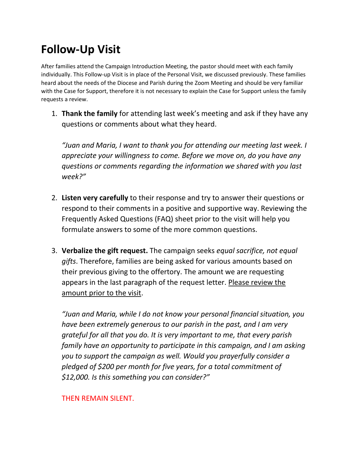# **Follow-Up Visit**

After families attend the Campaign Introduction Meeting, the pastor should meet with each family individually. This Follow-up Visit is in place of the Personal Visit, we discussed previously. These families heard about the needs of the Diocese and Parish during the Zoom Meeting and should be very familiar with the Case for Support, therefore it is not necessary to explain the Case for Support unless the family requests a review.

1. **Thank the family** for attending last week's meeting and ask if they have any questions or comments about what they heard.

*"Juan and Maria, I want to thank you for attending our meeting last week. I appreciate your willingness to come. Before we move on, do you have any questions or comments regarding the information we shared with you last week?"*

- 2. **Listen very carefully** to their response and try to answer their questions or respond to their comments in a positive and supportive way. Reviewing the Frequently Asked Questions (FAQ) sheet prior to the visit will help you formulate answers to some of the more common questions.
- 3. **Verbalize the gift request.** The campaign seeks *equal sacrifice, not equal gifts*. Therefore, families are being asked for various amounts based on their previous giving to the offertory. The amount we are requesting appears in the last paragraph of the request letter. Please review the amount prior to the visit.

*"Juan and Maria, while I do not know your personal financial situation, you have been extremely generous to our parish in the past, and I am very grateful for all that you do. It is very important to me, that every parish family have an opportunity to participate in this campaign, and I am asking you to support the campaign as well. Would you prayerfully consider a pledged of \$200 per month for five years, for a total commitment of \$12,000. Is this something you can consider?"*

## THEN REMAIN SILENT.